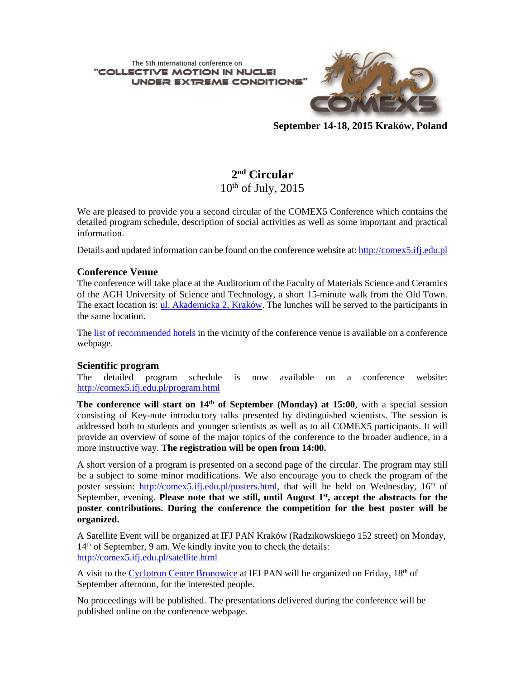The 5th international conference on "COLLECTIVE MOTION IN NUCL **UNDER EXTREME CONDITIONS** 



**September 14-18, 2015 Kraków, Poland**

# **2nd Circular**  $10^{th}$  of July,  $2015$

We are pleased to provide you a second circular of the COMEX5 Conference which contains the detailed program schedule, description of social activities as well as some important and practical information.

Details and updated information can be found on the conference website at: [http://comex5.ifj.edu.pl](http://comex5.ifj.edu.pl/)

#### **Conference Venue**

The conference will take place at the Auditorium of the Faculty of Materials Science and Ceramics of the AGH University of Science and Technology, a short 15-minute walk from the Old Town. The exact location is: ul. [Akademicka](https://www.google.pl/maps/place/AGH,+Wydzia%C5%82+In%C5%BCynierii+Materia%C5%82owej+i+Ceramiki/@50.0656536,19.9189909,17z/data=!4m2!3m1!1s0x47165ba729ae3569:0x9682fef9ca504faf) 2, Kraków. The lunches will be served to the participants in the same location.

The list of [recommended](http://comex5.ifj.edu.pl/accomodation.html) hotels in the vicinity of the conference venue is available on a conference webpage.

# **Scientific program**<br>The detailed prog

The detailed program schedule is now available on a conference website: <http://comex5.ifj.edu.pl/program.html>

**The conference will start on 14th of September (Monday) at 15:00**, with a special session consisting of Key-note introductory talks presented by distinguished scientists. The session is addressed both to students and younger scientists as well as to all COMEX5 participants. It will provide an overview of some of the major topics of the conference to the broader audience, in a more instructive way. **The registration will be open from 14:00.**

A short version of a program is presented on a second page of the circular. The program may still be a subject to some minor modifications. We also encourage you to check the program of the poster session: [http://comex5.ifj.edu.pl/posters.html,](http://comex5.ifj.edu.pl/posters.html) that will be held on Wednesday, 16<sup>th</sup> of September, evening. **Please note that we still, until August 1st, accept the abstracts for the poster contributions. During the conference the competition for the best poster will be organized.**

A Satellite Event will be organized at IFJ PAN Kraków (Radzikowskiego 152 street) on Monday, 14<sup>th</sup> of September, 9 am. We kindly invite you to check the details: <http://comex5.ifj.edu.pl/satellite.html>

A visit to the Cyclotron Center [Bronowice](http://www.ifj.edu.pl/ccb/en/index.php) at IFJ PAN will be organized on Friday, 18<sup>th</sup> of September afternoon, for the interested people.

No proceedings will be published. The presentations delivered during the conference will be published online on the conference webpage.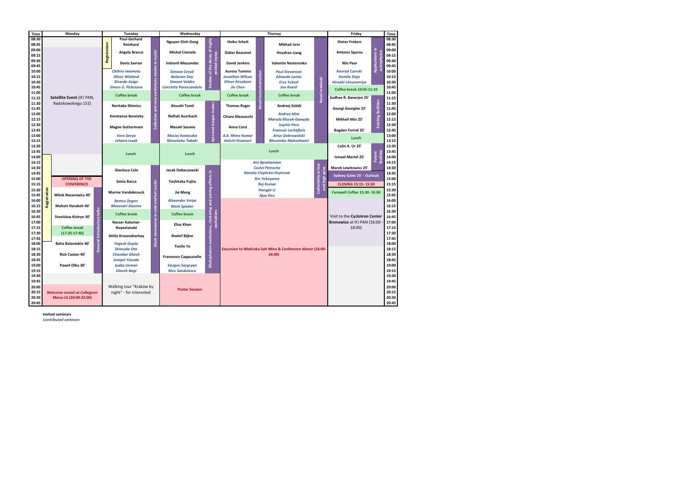|                       |                                                                                                |                           | Tuesday                                                                    |                              | Wednesday                                         |                                                            | Thursay                                                      |                            |                                                                                  |                                                                               | Friday                               |                 | Time           |
|-----------------------|------------------------------------------------------------------------------------------------|---------------------------|----------------------------------------------------------------------------|------------------------------|---------------------------------------------------|------------------------------------------------------------|--------------------------------------------------------------|----------------------------|----------------------------------------------------------------------------------|-------------------------------------------------------------------------------|--------------------------------------|-----------------|----------------|
| 08:30                 |                                                                                                |                           | Paul-Gerhard                                                               |                              | Nguyen Dinh Dang                                  |                                                            | <b>Heiko Scheit</b>                                          |                            |                                                                                  |                                                                               | <b>Dieter Frekers</b>                |                 | 08:30          |
| 08:45                 |                                                                                                | Registration              | Reinhard                                                                   |                              |                                                   |                                                            |                                                              |                            | <b>Mikhail Urin</b>                                                              |                                                                               |                                      |                 | 08:45          |
| 09:00                 |                                                                                                |                           | Angela Bracco                                                              |                              | Michał Ciemała                                    |                                                            | <b>Didier Beaumel</b>                                        |                            | <b>Hoazhao Liang</b>                                                             |                                                                               | <b>Artemis Spyrou</b>                |                 | 09:00          |
| 09:15                 | Satellite Event (IFJ PAN,<br>Radzikowskiego 152)<br><b>OPENING OF THE</b><br><b>CONFERENCE</b> |                           | Deniz Savran                                                               | excitations modes in nuclei  |                                                   | Studies of the decay of highly<br>cited stat               |                                                              |                            |                                                                                  |                                                                               |                                      | sarrophysics    | 09:15          |
| 09:30                 |                                                                                                |                           |                                                                            |                              | <b>Indranil Mazumdar</b>                          |                                                            | <b>David Jenkins</b>                                         | <b>Valentin Nesterenko</b> |                                                                                  | <b>Nils Paar</b>                                                              |                                      | 09:30           |                |
| 09:45                 |                                                                                                |                           | <b>Chihiro Iwamoto</b>                                                     |                              | <b>Simone Ceruti</b>                              |                                                            | <b>Aurora Tumino</b>                                         |                            | <b>Paul Stevenson</b>                                                            |                                                                               | <b>Konrad Czerski</b>                | Applications in | 09:45<br>10:00 |
| 10:00<br>10:15        |                                                                                                |                           | <b>Oliver Wieland</b><br><b>Ricardo Avigo</b><br><b>Simon G. Pickstone</b> |                              | <b>Balaram Dey</b>                                |                                                            | Jonathan Wilson                                              | instrumentation            | <b>Eduardo Lanza</b>                                                             | Novel methods                                                                 | <b>Kamila Sieja</b>                  |                 | 10:15          |
| 10:30                 |                                                                                                |                           |                                                                            |                              | <b>Simone Valdre</b>                              |                                                            | <b>Oliver Kirsebom</b>                                       |                            | <b>Ersa Yuksel</b>                                                               |                                                                               | Hiroaki Utsunomiya                   |                 | 10:30          |
| 10:45                 |                                                                                                |                           |                                                                            |                              | <b>Concetta Parascandolo</b>                      |                                                            | <b>Jie Chen</b>                                              |                            | <b>Jan Kvasil</b>                                                                |                                                                               |                                      |                 | 10:45          |
| 11:00                 |                                                                                                |                           |                                                                            |                              |                                                   |                                                            |                                                              |                            |                                                                                  | Coffee break 10:45-11:10                                                      |                                      | 11:00           |                |
| 11:15                 |                                                                                                |                           | <b>Coffee break</b>                                                        |                              | <b>Coffee break</b>                               |                                                            | <b>Coffee break</b>                                          |                            | <b>Coffee break</b>                                                              |                                                                               | Sudhee R. Banerjee 25'               |                 | 11:15          |
| 11:30                 |                                                                                                |                           | Noritaka Shimizu                                                           |                              | Atsushi Tamii                                     |                                                            | <b>Thomas Roger</b>                                          | Novel                      | Andrzej Góźdź                                                                    |                                                                               |                                      | 11:30           |                |
| 11:45                 |                                                                                                |                           | Collective and new                                                         |                              |                                                   |                                                            |                                                              |                            |                                                                                  |                                                                               | Georgi Georgiev 25'                  | facilities      | 11:45          |
| 12:00                 |                                                                                                |                           | Konstanze Boretzky                                                         |                              | Naftali Auerbach                                  |                                                            | Chiara Mazzocchi                                             |                            | Andrea Idini                                                                     |                                                                               |                                      | 12:00           |                |
| 12:15                 |                                                                                                |                           |                                                                            |                              |                                                   | Spin and isospin modes                                     |                                                              |                            | <b>Mariola Kłusek-Gaweda</b><br><b>Sophie Peru</b><br><b>Francois Lechaftois</b> |                                                                               | Mikhail Itkis 25'                    | Existing        | 12:15          |
| 12:30                 |                                                                                                |                           | <b>Magne Guttormsen</b>                                                    |                              | Masaki Sasano                                     |                                                            | Anna Corsi                                                   |                            |                                                                                  |                                                                               |                                      |                 | 12:30          |
| 12:45                 |                                                                                                |                           |                                                                            |                              |                                                   |                                                            |                                                              |                            |                                                                                  |                                                                               | <b>Bogdan Fornal 25'</b>             |                 | 12:45<br>13:00 |
| 13:00<br>13:15        |                                                                                                |                           | <b>Vera Derya</b><br><b>Johann Isaak</b>                                   |                              | <b>Maciej Konieczka</b><br><b>Monotobu Takaki</b> |                                                            | A.K. Rhine Kumar<br>Keiichi Kisamori                         |                            | <b>Artur Dobrowolski</b><br><b>Bhoomika Maheshwari</b>                           |                                                                               | Lunch                                |                 | 13:15          |
| 13:30                 |                                                                                                |                           |                                                                            |                              |                                                   |                                                            |                                                              |                            |                                                                                  |                                                                               | Calin A. Ur 25'                      |                 | 13:30          |
| 13:45                 |                                                                                                |                           | Lunch                                                                      |                              | Lunch                                             |                                                            | Lunch                                                        |                            | Collectivity at low                                                              |                                                                               |                                      | 13:45           |                |
| 14:00                 |                                                                                                |                           |                                                                            |                              |                                                   |                                                            |                                                              |                            |                                                                                  | <b>Ismael Martel 25'</b>                                                      | <b>facilities</b><br>Future          | 14:00           |                |
| 14:15                 |                                                                                                |                           |                                                                            |                              |                                                   |                                                            | Ani Aprahamian                                               |                            |                                                                                  |                                                                               |                                      | 14:15           |                |
| 14:30                 |                                                                                                |                           | Gianluca Colo                                                              |                              | Jacek Dobaczewski                                 |                                                            | <b>Costel Petrache</b>                                       |                            |                                                                                  | <b>Marek Lewitowicz 25'</b>                                                   |                                      | 14:30           |                |
| 14:45                 |                                                                                                |                           |                                                                            |                              |                                                   |                                                            | Natalia Cieplicka-Oryńczak<br><b>Rin Yokoyama</b>            |                            |                                                                                  | <b>Sydney Gales 25' - Outlook</b><br>and high :<br><b>CLOSING 15:15-15:30</b> |                                      | 14:45           |                |
| 15:00                 |                                                                                                |                           | Sonia Bacca                                                                |                              | Yoshitaka Fujita                                  |                                                            |                                                              |                            |                                                                                  |                                                                               |                                      | 15:00           |                |
| 15:15                 |                                                                                                |                           |                                                                            |                              |                                                   |                                                            |                                                              |                            | <b>Raj Kumar</b>                                                                 |                                                                               |                                      | 15:15           |                |
| Registration<br>15:30 |                                                                                                | <b>Marine Vandebrouck</b> |                                                                            | hot nuclei                   | Jie Meng                                          |                                                            | <b>Hongjie Li</b>                                            |                            |                                                                                  | Farewell Coffee 15:30-16:00                                                   |                                      | 15:30           |                |
| 15:45                 | <b>Witek Nazarewicz 40'</b>                                                                    |                           |                                                                            |                              |                                                   |                                                            |                                                              | <b>Ajay Deo</b>            |                                                                                  |                                                                               |                                      |                 | 15:45          |
| 16:00                 |                                                                                                |                           | <b>Remco Zegers</b>                                                        | Giant resonances in cold and | <b>Alexander Volya</b>                            | Multiphonon excitations, clustering and pairing effects in |                                                              |                            |                                                                                  |                                                                               |                                      |                 | 16:00          |
| 16:15                 | Muhsin Harakeh 40'                                                                             |                           | <b>Masonari Dozono</b>                                                     |                              | <b>Mark Spieker</b>                               |                                                            |                                                              |                            |                                                                                  |                                                                               |                                      |                 | 16:15          |
| 16:30<br>16:45        | Stanisław Kistryn 30'                                                                          |                           | <b>Coffee break</b>                                                        |                              | <b>Coffee break</b>                               |                                                            |                                                              |                            |                                                                                  | Visit to the Cyclotron Center                                                 |                                      | 16:30<br>16:45  |                |
| 17:00                 |                                                                                                |                           | Nasser Kalantar-                                                           |                              | <b>Excitations</b>                                |                                                            |                                                              |                            |                                                                                  |                                                                               | Bronowice at IFJ PAN (16:00<br>18:00 |                 | 17:00          |
| 17:15                 | Introductory talks<br><b>Coffee break</b><br>$(17:20-17:40)$                                   |                           | Nayestanaki                                                                |                              | <b>Elias Khan</b>                                 |                                                            |                                                              |                            |                                                                                  |                                                                               |                                      |                 | 17:15          |
| 17:30                 |                                                                                                |                           |                                                                            |                              |                                                   |                                                            |                                                              |                            |                                                                                  |                                                                               |                                      |                 | 17:30          |
| 17:45                 |                                                                                                |                           | Attila Krasznahorkay                                                       |                              | <b>Roelof Bijker</b>                              |                                                            |                                                              |                            |                                                                                  |                                                                               |                                      |                 | 17:45          |
| 18:00                 | Baha Balantekin 40'                                                                            |                           | <b>Yogesh Gupta</b>                                                        |                              | Yanlin Ye                                         |                                                            |                                                              |                            |                                                                                  |                                                                               |                                      | 18:00           |                |
| 18:15                 | General<br><b>Rick Casten 40'</b>                                                              |                           | <b>Shinsuke Ota</b>                                                        |                              |                                                   |                                                            | Excursion to Wieliczka Salt Mine & Conference dinner (16:00- |                            |                                                                                  |                                                                               |                                      | 18:15           |                |
| 18:30                 |                                                                                                |                           | <b>Chandan Ghosh</b><br>Jumpei Yasuda<br><b>Iyabo Usman</b>                |                              | <b>Francesco Cappuzzello</b>                      |                                                            | 24:00)                                                       |                            |                                                                                  |                                                                               |                                      | 18:30           |                |
| 18:45                 | Paweł Olko 30'                                                                                 |                           |                                                                            |                              |                                                   |                                                            |                                                              |                            |                                                                                  |                                                                               |                                      | 18:45           |                |
| 19:00                 |                                                                                                |                           |                                                                            |                              |                                                   | <b>Vazgen Sargsyan</b>                                     |                                                              |                            |                                                                                  |                                                                               |                                      |                 | 19:00          |
| 19:15                 |                                                                                                |                           | <b>Dinesh Negi</b>                                                         |                              | <b>Nicu Sandulescu</b>                            |                                                            |                                                              |                            |                                                                                  |                                                                               |                                      |                 | 19:15<br>19:30 |
| 19:30<br>19:45        |                                                                                                |                           |                                                                            |                              |                                                   |                                                            |                                                              |                            |                                                                                  |                                                                               |                                      |                 | 19:45          |
|                       | 20:00<br><b>Welcome coctail at Collegium</b><br>Maius UJ (20:00-22:00)                         |                           | Walking tour "Kraków by<br>night" - for interested                         |                              | <b>Poster Session</b>                             |                                                            |                                                              |                            |                                                                                  |                                                                               |                                      |                 | 20:00          |
| 20:15                 |                                                                                                |                           |                                                                            |                              |                                                   |                                                            |                                                              |                            |                                                                                  |                                                                               |                                      |                 | 20:15          |
| 20:30                 |                                                                                                |                           |                                                                            |                              |                                                   |                                                            |                                                              |                            |                                                                                  |                                                                               |                                      | 20:30           |                |
| 20:45                 |                                                                                                |                           |                                                                            |                              |                                                   |                                                            |                                                              |                            |                                                                                  |                                                                               |                                      |                 | 20:45          |

**Invited seminars**

*Contributed seminars*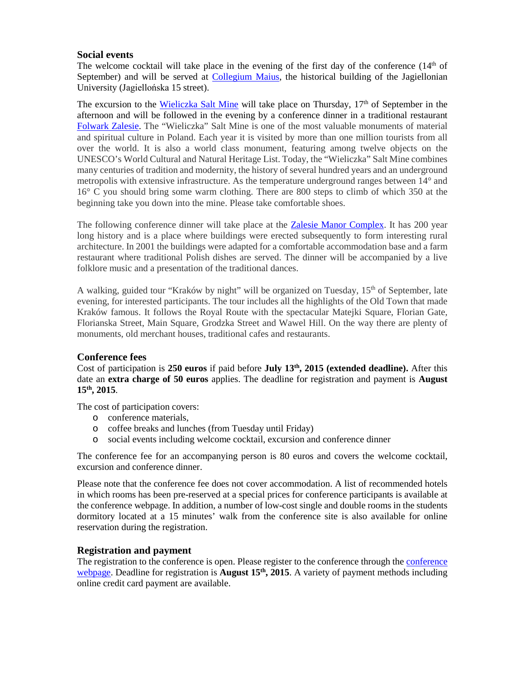# **Social events**

The welcome cocktail will take place in the evening of the first day of the conference  $(14<sup>th</sup>$  of September) and will be served at [Collegium](http://www.uj.edu.pl/en_GB/uniwersytet/muzea/collegium-maius) Maius, the historical building of the Jagiellonian University (Jagiellońska 15 street).

The excursion to the [Wieliczka](http://www.wieliczka-saltmine.com/) Salt Mine will take place on Thursday,  $17<sup>th</sup>$  of September in the afternoon and will be followed in the evening by a conference dinner in a traditional restaurant [Folwark](http://www.folwarkzalesie.pl/en/) Zalesie. The "Wieliczka" Salt Mine is one of the most valuable monuments of material and spiritual culture in Poland. Each year it is visited by more than one million tourists from all over the world. It is also a world class monument, featuring among twelve objects on the UNESCO's World Cultural and Natural Heritage List. Today, the "Wieliczka" Salt Mine combines many centuries of tradition and modernity, the history of several hundred years and an underground metropolis with extensive infrastructure. As the temperature underground ranges between 14° and 16° C you should bring some warm clothing. There are 800 steps to climb of which 350 at the beginning take you down into the mine. Please take comfortable shoes.

The following conference dinner will take place at the [Zalesie Manor Complex.](http://www.folwarkzalesie.pl/en/) It has 200 year long history and is a place where buildings were erected subsequently to form interesting rural architecture. In 2001 the buildings were adapted for a comfortable accommodation base and a farm restaurant where traditional Polish dishes are served. The dinner will be accompanied by a live folklore music and a presentation of the traditional dances.

A walking, guided tour "Kraków by night" will be organized on Tuesday, 15<sup>th</sup> of September, late evening, for interested participants. The tour includes all the highlights of the Old Town that made Kraków famous. It follows the Royal Route with the spectacular Matejki Square, Florian Gate, Florianska Street, Main Square, Grodzka Street and Wawel Hill. On the way there are plenty of monuments, old merchant houses, traditional cafes and restaurants.

#### **Conference fees**

Cost of participation is **250 euros** if paid before **July 13th, 2015 (extended deadline).** After this date an **extra charge of 50 euros** applies. The deadline for registration and payment is **August 15th, 2015**.

The cost of participation covers:

- o conference materials,
- o coffee breaks and lunches (from Tuesday until Friday)
- o social events including welcome cocktail, excursion and conference dinner

The conference fee for an accompanying person is 80 euros and covers the welcome cocktail, excursion and conference dinner.

Please note that the conference fee does not cover accommodation. A list of recommended hotels in which rooms has been pre-reserved at a special prices for conference participants is available at the conference webpage. In addition, a number of low-cost single and double rooms in the students dormitory located at a 15 minutes' walk from the conference site is also available for online reservation during the registration.

# **Registration and payment**

The registration to the [conference](http://comex5.ifj.edu.pl/) is open. Please register to the conference through the conference [webpage.](http://comex5.ifj.edu.pl/) Deadline for registration is **August 15<sup>th</sup>**, 2015. A variety of payment methods including online credit card payment are available.